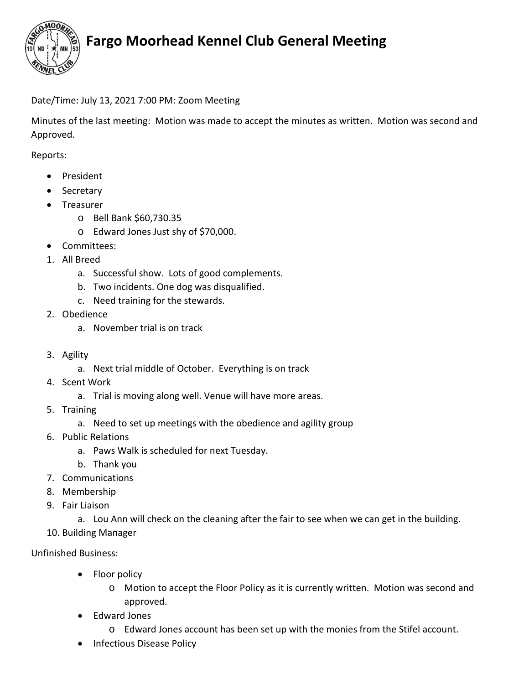

## **Fargo Moorhead Kennel Club General Meeting**

## Date/Time: July 13, 2021 7:00 PM: Zoom Meeting

Minutes of the last meeting: Motion was made to accept the minutes as written. Motion was second and Approved.

Reports:

- President
- Secretary
- Treasurer
	- o Bell Bank \$60,730.35
	- o Edward Jones Just shy of \$70,000.
- Committees:
- 1. All Breed
	- a. Successful show. Lots of good complements.
	- b. Two incidents. One dog was disqualified.
	- c. Need training for the stewards.
- 2. Obedience
	- a. November trial is on track
- 3. Agility
	- a. Next trial middle of October. Everything is on track
- 4. Scent Work
	- a. Trial is moving along well. Venue will have more areas.
- 5. Training
	- a. Need to set up meetings with the obedience and agility group
- 6. Public Relations
	- a. Paws Walk is scheduled for next Tuesday.
	- b. Thank you
- 7. Communications
- 8. Membership
- 9. Fair Liaison
	- a. Lou Ann will check on the cleaning after the fair to see when we can get in the building.
- 10. Building Manager

### Unfinished Business:

- Floor policy
	- o Motion to accept the Floor Policy as it is currently written. Motion was second and approved.
- Edward Jones
	- o Edward Jones account has been set up with the monies from the Stifel account.
- Infectious Disease Policy